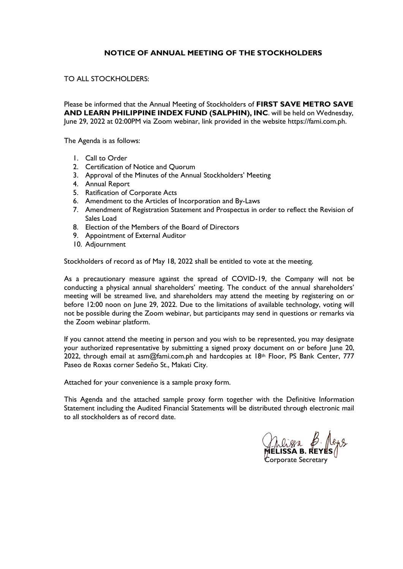## **NOTICE OF ANNUAL MEETING OF THE STOCKHOLDERS**

#### TO ALL STOCKHOLDERS:

Please be informed that the Annual Meeting of Stockholders of **FIRST SAVE METRO SAVE AND LEARN PHILIPPINE INDEX FUND (SALPHIN), INC**. will be held on Wednesday, June 29, 2022 at 02:00PM via Zoom webinar, link provided in the website https://fami.com.ph.

The Agenda is as follows:

- 1. Call to Order
- 2. Certification of Notice and Quorum
- 3. Approval of the Minutes of the Annual Stockholders' Meeting
- 4. Annual Report
- 5. Ratification of Corporate Acts
- 6. Amendment to the Articles of Incorporation and By-Laws
- 7. Amendment of Registration Statement and Prospectus in order to reflect the Revision of Sales Load
- 8. Election of the Members of the Board of Directors
- 9. Appointment of External Auditor
- 10. Adjournment

Stockholders of record as of May 18, 2022 shall be entitled to vote at the meeting.

As a precautionary measure against the spread of COVID-19, the Company will not be conducting a physical annual shareholders' meeting. The conduct of the annual shareholders' meeting will be streamed live, and shareholders may attend the meeting by registering on or before 12:00 noon on June 29, 2022. Due to the limitations of available technology, voting will not be possible during the Zoom webinar, but participants may send in questions or remarks via the Zoom webinar platform.

If you cannot attend the meeting in person and you wish to be represented, you may designate your authorized representative by submitting a signed proxy document on or before June 20, 2022, through email at asm@fami.com.ph and hardcopies at  $18<sup>th</sup>$  Floor, PS Bank Center, 777 Paseo de Roxas corner Sedeño St., Makati City.

Attached for your convenience is a sample proxy form.

This Agenda and the attached sample proxy form together with the Definitive Information Statement including the Audited Financial Statements will be distributed through electronic mail to all stockholders as of record date.

**MELISSA B. REYES**

Corporate Secretary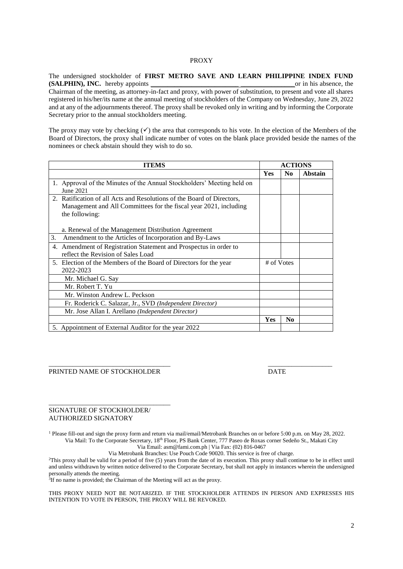#### PROXY

The undersigned stockholder of **FIRST METRO SAVE AND LEARN PHILIPPINE INDEX FUND (SALPHIN), INC.** hereby appoints \_\_\_\_\_\_\_\_\_\_\_\_\_\_\_\_\_\_\_\_\_\_\_\_\_\_ \_\_\_\_\_\_\_\_\_\_\_\_\_\_\_\_or in his absence, the Chairman of the meeting, as attorney-in-fact and proxy, with power of substitution, to present and vote all shares registered in his/her/its name at the annual meeting of stockholders of the Company on Wednesday, June 29, 2022 and at any of the adjournments thereof. The proxy shall be revoked only in writing and by informing the Corporate

The proxy may vote by checking  $(\checkmark)$  the area that corresponds to his vote. In the election of the Members of the Board of Directors, the proxy shall indicate number of votes on the blank place provided beside the names of the nominees or check abstain should they wish to do so.

| <b>ITEMS</b>                                                           |            | <b>ACTIONS</b> |         |
|------------------------------------------------------------------------|------------|----------------|---------|
|                                                                        | <b>Yes</b> | N <sub>0</sub> | Abstain |
| 1. Approval of the Minutes of the Annual Stockholders' Meeting held on |            |                |         |
| June 2021                                                              |            |                |         |
| 2. Ratification of all Acts and Resolutions of the Board of Directors, |            |                |         |
| Management and All Committees for the fiscal year 2021, including      |            |                |         |
| the following:                                                         |            |                |         |
|                                                                        |            |                |         |
| a. Renewal of the Management Distribution Agreement                    |            |                |         |
| 3.<br>Amendment to the Articles of Incorporation and By-Laws           |            |                |         |
| 4. Amendment of Registration Statement and Prospectus in order to      |            |                |         |
| reflect the Revision of Sales Load                                     |            |                |         |
| 5. Election of the Members of the Board of Directors for the year      | # of Votes |                |         |
| 2022-2023                                                              |            |                |         |
| Mr. Michael G. Say                                                     |            |                |         |
| Mr. Robert T. Yu                                                       |            |                |         |
| Mr. Winston Andrew L. Peckson                                          |            |                |         |
| Fr. Roderick C. Salazar, Jr., SVD (Independent Director)               |            |                |         |
| Mr. Jose Allan I. Arellano (Independent Director)                      |            |                |         |
|                                                                        | Yes        | N <sub>0</sub> |         |
| 5. Appointment of External Auditor for the year 2022                   |            |                |         |

#### PRINTED NAME OF STOCKHOLDER DATE

\_\_\_\_\_\_\_\_\_\_\_\_\_\_\_\_\_\_\_\_\_\_\_\_\_\_\_\_\_\_\_\_\_\_\_\_

Secretary prior to the annual stockholders meeting.

#### SIGNATURE OF STOCKHOLDER/ AUTHORIZED SIGNATORY

<sup>1</sup> Please fill-out and sign the proxy form and return via mail/email/Metrobank Branches on or before 5:00 p.m. on May 28, 2022. Via Mail: To the Corporate Secretary, 18th Floor, PS Bank Center, 777 Paseo de Roxas corner Sedeño St., Makati City

\_\_\_\_\_\_\_\_\_\_\_\_\_\_\_\_\_\_\_\_\_\_\_\_\_\_\_\_\_\_\_\_\_\_\_\_ \_\_\_\_\_\_\_\_\_\_\_\_\_\_\_\_\_\_\_

Via Email: asm@fami.com.ph | Via Fax: (02) 816-0467

Via Metrobank Branches: Use Pouch Code 90020. This service is free of charge.

<sup>2</sup>This proxy shall be valid for a period of five (5) years from the date of its execution. This proxy shall continue to be in effect until and unless withdrawn by written notice delivered to the Corporate Secretary, but shall not apply in instances wherein the undersigned personally attends the meeting.

<sup>3</sup>If no name is provided; the Chairman of the Meeting will act as the proxy.

THIS PROXY NEED NOT BE NOTARIZED. IF THE STOCKHOLDER ATTENDS IN PERSON AND EXPRESSES HIS INTENTION TO VOTE IN PERSON, THE PROXY WILL BE REVOKED.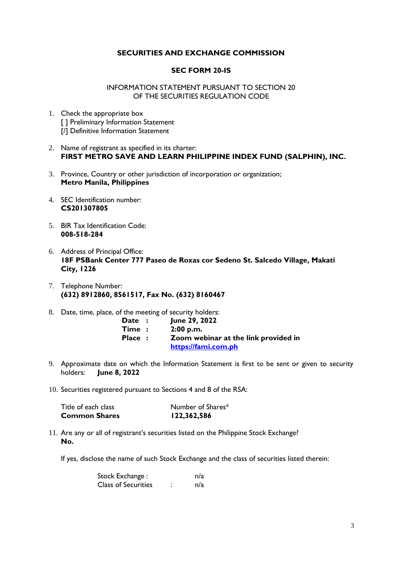#### **SECURITIES AND EXCHANGE COMMISSION**

#### **SEC FORM 20-IS**

INFORMATION STATEMENT PURSUANT TO SECTION 20 OF THE SECURITIES REGULATION CODE

- 1. Check the appropriate box [ ] Preliminary Information Statement [/] Definitive Information Statement
- 2. Name of registrant as specified in its charter: **FIRST METRO SAVE AND LEARN PHILIPPINE INDEX FUND (SALPHIN), INC.**
- 3. Province, Country or other jurisdiction of incorporation or organization; **Metro Manila, Philippines**
- 4. SEC Identification number: **CS201307805**
- 5. BIR Tax Identification Code: **008-518-284**
- 6. Address of Principal Office: **18F PSBank Center 777 Paseo de Roxas cor Sedeno St. Salcedo Village, Makati City, 1226**
- 7. Telephone Number: **(632) 8912860, 8561517, Fax No. (632) 8160467**
- 8. Date, time, place, of the meeting of security holders:

| Date :              | June 29, 2022                        |
|---------------------|--------------------------------------|
| $\mathsf{Time}\; :$ | 2:00 p.m.                            |
| <b>Place:</b>       | Zoom webinar at the link provided in |
|                     | https://fami.com.ph                  |

- 9. Approximate date on which the Information Statement is first to be sent or given to security holders: **June 8, 2022**
- 10. Securities registered pursuant to Sections 4 and 8 of the RSA:

| <b>Common Shares</b> | 122,362,586       |
|----------------------|-------------------|
| Title of each class  | Number of Shares* |

11. Are any or all of registrant's securities listed on the Philippine Stock Exchange? **No.** 

If yes, disclose the name of such Stock Exchange and the class of securities listed therein:

| Stock Exchange :           |  | n/a |
|----------------------------|--|-----|
| <b>Class of Securities</b> |  | n/a |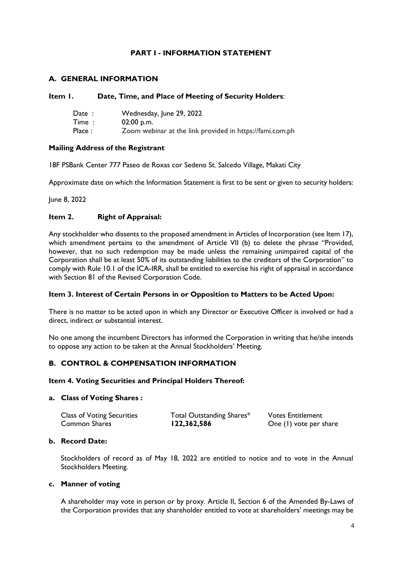# **PART I - INFORMATION STATEMENT**

# **A. GENERAL INFORMATION**

#### **Item 1. Date, Time, and Place of Meeting of Security Holders**:

| Date:  | Wednesday, June 29, 2022                                 |
|--------|----------------------------------------------------------|
| Time:  | $02:00$ p.m.                                             |
| Place: | Zoom webinar at the link provided in https://fami.com.ph |

## **Mailing Address of the Registrant**

18F PSBank Center 777 Paseo de Roxas cor Sedeno St. Salcedo Village, Makati City

Approximate date on which the Information Statement is first to be sent or given to security holders:

June 8, 2022

# **Item 2. Right of Appraisal:**

Any stockholder who dissents to the proposed amendment in Articles of Incorporation (see Item 17), which amendment pertains to the amendment of Article VII (b) to delete the phrase "Provided, however, that no such redemption may be made unless the remaining unimpaired capital of the Corporation shall be at least 50% of its outstanding liabilities to the creditors of the Corporation" to comply with Rule 10.1 of the ICA-IRR, shall be entitled to exercise his right of appraisal in accordance with Section 81 of the Revised Corporation Code.

#### **Item 3. Interest of Certain Persons in or Opposition to Matters to be Acted Upon:**

There is no matter to be acted upon in which any Director or Executive Officer is involved or had a direct, indirect or substantial interest.

No one among the incumbent Directors has informed the Corporation in writing that he/she intends to oppose any action to be taken at the Annual Stockholders' Meeting.

# **B. CONTROL & COMPENSATION INFORMATION**

#### **Item 4. Voting Securities and Principal Holders Thereof:**

#### **a. Class of Voting Shares :**

| <b>Class of Voting Securities</b> | Total Outstanding Shares* | <b>Votes Entitlement</b> |
|-----------------------------------|---------------------------|--------------------------|
| <b>Common Shares</b>              | 122,362,586               | One (1) vote per share   |

#### **b. Record Date:**

Stockholders of record as of May 18, 2022 are entitled to notice and to vote in the Annual Stockholders Meeting.

#### **c. Manner of voting**

A shareholder may vote in person or by proxy. Article II, Section 6 of the Amended By-Laws of the Corporation provides that any shareholder entitled to vote at shareholders' meetings may be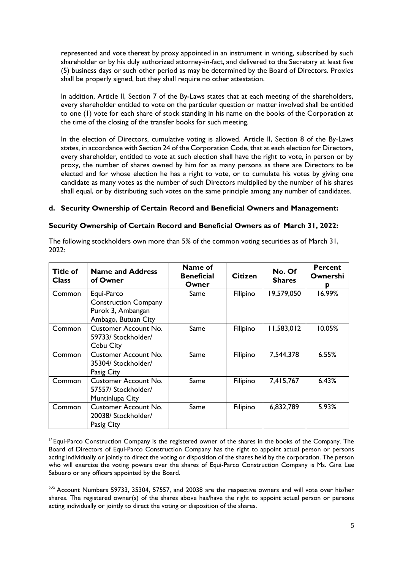represented and vote thereat by proxy appointed in an instrument in writing, subscribed by such shareholder or by his duly authorized attorney-in-fact, and delivered to the Secretary at least five (5) business days or such other period as may be determined by the Board of Directors. Proxies shall be properly signed, but they shall require no other attestation.

In addition, Article II, Section 7 of the By-Laws states that at each meeting of the shareholders, every shareholder entitled to vote on the particular question or matter involved shall be entitled to one (1) vote for each share of stock standing in his name on the books of the Corporation at the time of the closing of the transfer books for such meeting.

In the election of Directors, cumulative voting is allowed. Article II, Section 8 of the By-Laws states, in accordance with Section 24 of the Corporation Code, that at each election for Directors, every shareholder, entitled to vote at such election shall have the right to vote, in person or by proxy, the number of shares owned by him for as many persons as there are Directors to be elected and for whose election he has a right to vote, or to cumulate his votes by giving one candidate as many votes as the number of such Directors multiplied by the number of his shares shall equal, or by distributing such votes on the same principle among any number of candidates.

## **d. Security Ownership of Certain Record and Beneficial Owners and Management:**

#### **Security Ownership of Certain Record and Beneficial Owners as of March 31, 2022:**

| Title of<br><b>Class</b> | <b>Name and Address</b><br>of Owner                                                   | Name of<br><b>Beneficial</b><br>Owner | <b>Citizen</b> | No. Of<br><b>Shares</b> | <b>Percent</b><br>Ownershi<br>р |
|--------------------------|---------------------------------------------------------------------------------------|---------------------------------------|----------------|-------------------------|---------------------------------|
| Common                   | Equi-Parco<br><b>Construction Company</b><br>Purok 3, Ambangan<br>Ambago, Butuan City | Same                                  | Filipino       | 19,579,050              | 16.99%                          |
| Common                   | <b>Customer Account No.</b><br>59733/ Stockholder/<br>Cebu City                       | Same                                  | Filipino       | 11,583,012              | 10.05%                          |
| Common                   | <b>Customer Account No.</b><br>35304/ Stockholder/<br>Pasig City                      | Same                                  | Filipino       | 7,544,378               | 6.55%                           |
| Common                   | <b>Customer Account No.</b><br>57557/ Stockholder/<br>Muntinlupa City                 | Same                                  | Filipino       | 7,415,767               | 6.43%                           |
| Common                   | <b>Customer Account No.</b><br>20038/ Stockholder/<br>Pasig City                      | Same                                  | Filipino       | 6,832,789               | 5.93%                           |

The following stockholders own more than 5% of the common voting securities as of March 31, 2022:

 $<sup>17</sup>$  Equi-Parco Construction Company is the registered owner of the shares in the books of the Company. The</sup> Board of Directors of Equi-Parco Construction Company has the right to appoint actual person or persons acting individually or jointly to direct the voting or disposition of the shares held by the corporation. The person who will exercise the voting powers over the shares of Equi-Parco Construction Company is Ms. Gina Lee Sabuero or any officers appointed by the Board.

<sup>2-5/</sup> Account Numbers 59733, 35304, 57557, and 20038 are the respective owners and will vote over his/her shares. The registered owner(s) of the shares above has/have the right to appoint actual person or persons acting individually or jointly to direct the voting or disposition of the shares.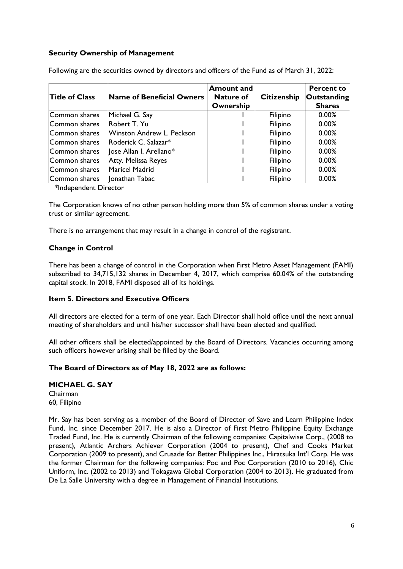## **Security Ownership of Management**

| <b>Title of Class</b> | Name of Beneficial Owners               | <b>Amount and</b><br><b>Nature of</b><br>Ownership | <b>Citizenship</b> | <b>Percent to</b><br><b>Outstanding</b><br><b>Shares</b> |
|-----------------------|-----------------------------------------|----------------------------------------------------|--------------------|----------------------------------------------------------|
| Common shares         | Michael G. Say                          |                                                    | Filipino           | 0.00%                                                    |
| Common shares         | Robert T. Yu                            |                                                    | Filipino           | 0.00%                                                    |
| Common shares         | Winston Andrew L. Peckson               |                                                    | Filipino           | 0.00%                                                    |
| Common shares         | $\blacksquare$ Roderick C. Salazar $^*$ |                                                    | Filipino           | $0.00\%$                                                 |
| Common shares         | lose Allan I. Arellano*                 |                                                    | Filipino           | 0.00%                                                    |
| Common shares         | Atty. Melissa Reyes                     |                                                    | Filipino           | 0.00%                                                    |
| Common shares         | Maricel Madrid                          |                                                    | Filipino           | 0.00%                                                    |
| Common shares         | Ionathan Tabac                          |                                                    | Filipino           | 0.00%                                                    |

Following are the securities owned by directors and officers of the Fund as of March 31, 2022:

\*Independent Director

The Corporation knows of no other person holding more than 5% of common shares under a voting trust or similar agreement.

There is no arrangement that may result in a change in control of the registrant.

## **Change in Control**

There has been a change of control in the Corporation when First Metro Asset Management (FAMI) subscribed to 34,715,132 shares in December 4, 2017, which comprise 60.04% of the outstanding capital stock. In 2018, FAMI disposed all of its holdings.

#### **Item 5. Directors and Executive Officers**

All directors are elected for a term of one year. Each Director shall hold office until the next annual meeting of shareholders and until his/her successor shall have been elected and qualified.

All other officers shall be elected/appointed by the Board of Directors. Vacancies occurring among such officers however arising shall be filled by the Board.

#### **The Board of Directors as of May 18, 2022 are as follows:**

**MICHAEL G. SAY** Chairman 60, Filipino

Mr. Say has been serving as a member of the Board of Director of Save and Learn Philippine Index Fund, Inc. since December 2017. He is also a Director of First Metro Philippine Equity Exchange Traded Fund, Inc. He is currently Chairman of the following companies: Capitalwise Corp., (2008 to present), Atlantic Archers Achiever Corporation (2004 to present), Chef and Cooks Market Corporation (2009 to present), and Crusade for Better Philippines Inc., Hiratsuka Int'l Corp. He was the former Chairman for the following companies: Poc and Poc Corporation (2010 to 2016), Chic Uniform, Inc. (2002 to 2013) and Tokagawa Global Corporation (2004 to 2013). He graduated from De La Salle University with a degree in Management of Financial Institutions.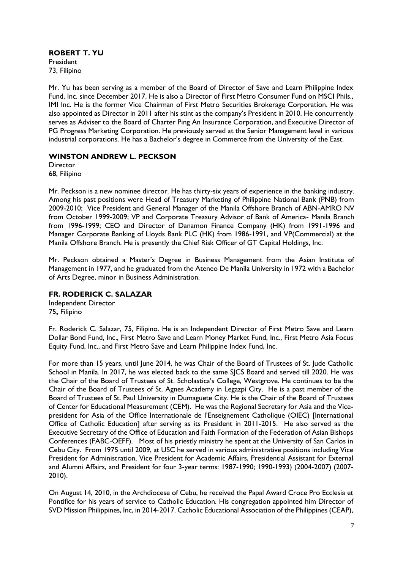**ROBERT T. YU**  President 73, Filipino

Mr. Yu has been serving as a member of the Board of Director of Save and Learn Philippine Index Fund, Inc. since December 2017. He is also a Director of First Metro Consumer Fund on MSCI Phils., IMI Inc. He is the former Vice Chairman of First Metro Securities Brokerage Corporation. He was also appointed as Director in 2011 after his stint as the company's President in 2010. He concurrently serves as Adviser to the Board of Charter Ping An Insurance Corporation, and Executive Director of PG Progress Marketing Corporation. He previously served at the Senior Management level in various industrial corporations. He has a Bachelor's degree in Commerce from the University of the East.

## **WINSTON ANDREW L. PECKSON**

**Director** 68, Filipino

Mr. Peckson is a new nominee director. He has thirty-six years of experience in the banking industry. Among his past positions were Head of Treasury Marketing of Philippine National Bank (PNB) from 2009-2010; Vice President and General Manager of the Manila Offshore Branch of ABN-AMRO NV from October 1999-2009; VP and Corporate Treasury Advisor of Bank of America- Manila Branch from 1996-1999; CEO and Director of Danamon Finance Company (HK) from 1991-1996 and Manager Corporate Banking of Lloyds Bank PLC (HK) from 1986-1991, and VP(Commercial) at the Manila Offshore Branch. He is presently the Chief Risk Officer of GT Capital Holdings, Inc.

Mr. Peckson obtained a Master's Degree in Business Management from the Asian Institute of Management in 1977, and he graduated from the Ateneo De Manila University in 1972 with a Bachelor of Arts Degree, minor in Business Administration.

# **FR. RODERICK C. SALAZAR**

Independent Director 75**,** Filipino

Fr. Roderick C. Salazar, 75, Filipino. He is an Independent Director of First Metro Save and Learn Dollar Bond Fund, Inc., First Metro Save and Learn Money Market Fund, Inc., First Metro Asia Focus Equity Fund, Inc., and First Metro Save and Learn Philippine Index Fund, Inc.

For more than 15 years, until June 2014, he was Chair of the Board of Trustees of St. Jude Catholic School in Manila. In 2017, he was elected back to the same SJCS Board and served till 2020. He was the Chair of the Board of Trustees of St. Scholastica's College, Westgrove. He continues to be the Chair of the Board of Trustees of St. Agnes Academy in Legazpi City. He is a past member of the Board of Trustees of St. Paul University in Dumaguete City. He is the Chair of the Board of Trustees of Center for Educational Measurement (CEM). He was the Regional Secretary for Asia and the Vicepresident for Asia of the Office Internationale de l'Enseignement Catholique (OIEC) [International Office of Catholic Education] after serving as its President in 2011-2015. He also served as the Executive Secretary of the Office of Education and Faith Formation of the Federation of Asian Bishops Conferences (FABC-OEFF). Most of his priestly ministry he spent at the University of San Carlos in Cebu City. From 1975 until 2009, at USC he served in various administrative positions including Vice President for Administration, Vice President for Academic Affairs, Presidential Assistant for External and Alumni Affairs, and President for four 3-year terms: 1987-1990; 1990-1993) (2004-2007) (2007- 2010).

On August 14, 2010, in the Archdiocese of Cebu, he received the Papal Award Croce Pro Ecclesia et Pontifice for his years of service to Catholic Education. His congregation appointed him Director of SVD Mission Philippines, Inc, in 2014-2017. Catholic Educational Association of the Philippines (CEAP),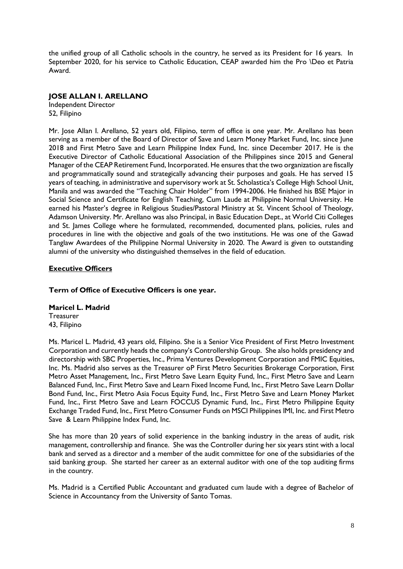the unified group of all Catholic schools in the country, he served as its President for 16 years. In September 2020, for his service to Catholic Education, CEAP awarded him the Pro \Deo et Patria Award.

## **JOSE ALLAN I. ARELLANO**

Independent Director 52, Filipino

Mr. Jose Allan I. Arellano, 52 years old, Filipino, term of office is one year. Mr. Arellano has been serving as a member of the Board of Director of Save and Learn Money Market Fund, Inc. since June 2018 and First Metro Save and Learn Philippine Index Fund, Inc. since December 2017. He is the Executive Director of Catholic Educational Association of the Philippines since 2015 and General Manager of the CEAP Retirement Fund, Incorporated. He ensures that the two organization are fiscally and programmatically sound and strategically advancing their purposes and goals. He has served 15 years of teaching, in administrative and supervisory work at St. Scholastica's College High School Unit, Manila and was awarded the "Teaching Chair Holder" from 1994-2006. He finished his BSE Major in Social Science and Certificate for English Teaching, Cum Laude at Philippine Normal University. He earned his Master's degree in Religious Studies/Pastoral Ministry at St. Vincent School of Theology, Adamson University. Mr. Arellano was also Principal, in Basic Education Dept., at World Citi Colleges and St. James College where he formulated, recommended, documented plans, policies, rules and procedures in line with the objective and goals of the two institutions. He was one of the Gawad Tanglaw Awardees of the Philippine Normal University in 2020. The Award is given to outstanding alumni of the university who distinguished themselves in the field of education.

# **Executive Officers**

# **Term of Office of Executive Officers is one year.**

#### **Maricel L. Madrid Treasurer** 43, Filipino

Ms. Maricel L. Madrid, 43 years old, Filipino. She is a Senior Vice President of First Metro Investment Corporation and currently heads the company's Controllership Group. She also holds presidency and directorship with SBC Properties, Inc., Prima Ventures Development Corporation and FMIC Equities, Inc. Ms. Madrid also serves as the Treasurer oP First Metro Securities Brokerage Corporation, First Metro Asset Management, Inc., First Metro Save Learn Equity Fund, Inc., First Metro Save and Learn Balanced Fund, Inc., First Metro Save and Learn Fixed Income Fund, Inc., First Metro Save Learn Dollar Bond Fund, Inc., First Metro Asia Focus Equity Fund, Inc., First Metro Save and Learn Money Market Fund, Inc., First Metro Save and Learn FOCCUS Dynamic Fund, Inc., First Metro Philippine Equity Exchange Traded Fund, Inc., First Metro Consumer Funds on MSCI Philippines IMI, Inc. and First Metro Save & Learn Philippine Index Fund, Inc.

She has more than 20 years of solid experience in the banking industry in the areas of audit, risk management, controllership and finance. She was the Controller during her six years stint with a local bank and served as a director and a member of the audit committee for one of the subsidiaries of the said banking group. She started her career as an external auditor with one of the top auditing firms in the country.

Ms. Madrid is a Certified Public Accountant and graduated cum laude with a degree of Bachelor of Science in Accountancy from the University of Santo Tomas.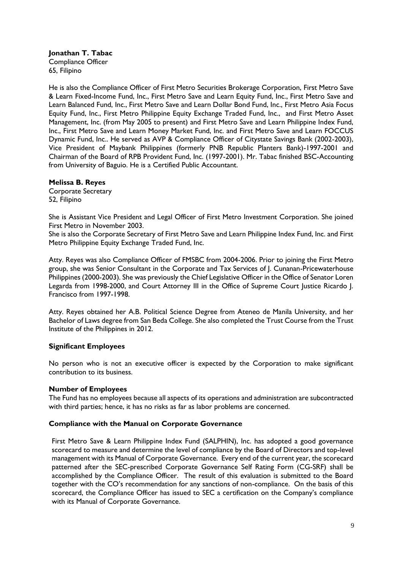**Jonathan T. Tabac** Compliance Officer 65, Filipino

He is also the Compliance Officer of First Metro Securities Brokerage Corporation, First Metro Save & Learn Fixed-Income Fund, Inc., First Metro Save and Learn Equity Fund, Inc., First Metro Save and Learn Balanced Fund, Inc., First Metro Save and Learn Dollar Bond Fund, Inc., First Metro Asia Focus Equity Fund, Inc., First Metro Philippine Equity Exchange Traded Fund, Inc., and First Metro Asset Management, Inc. (from May 2005 to present) and First Metro Save and Learn Philippine Index Fund, Inc., First Metro Save and Learn Money Market Fund, Inc. and First Metro Save and Learn FOCCUS Dynamic Fund, Inc.. He served as AVP & Compliance Officer of Citystate Savings Bank (2002-2003), Vice President of Maybank Philippines (formerly PNB Republic Planters Bank)-1997-2001 and Chairman of the Board of RPB Provident Fund, Inc. (1997-2001). Mr. Tabac finished BSC-Accounting from University of Baguio. He is a Certified Public Accountant.

## **Melissa B. Reyes**

Corporate Secretary 52, Filipino

She is Assistant Vice President and Legal Officer of First Metro Investment Corporation. She joined First Metro in November 2003.

She is also the Corporate Secretary of First Metro Save and Learn Philippine Index Fund, Inc. and First Metro Philippine Equity Exchange Traded Fund, Inc.

Atty. Reyes was also Compliance Officer of FMSBC from 2004-2006. Prior to joining the First Metro group, she was Senior Consultant in the Corporate and Tax Services of J. Cunanan-Pricewaterhouse Philippines (2000-2003). She was previously the Chief Legislative Officer in the Office of Senator Loren Legarda from 1998-2000, and Court Attorney III in the Office of Supreme Court Justice Ricardo J. Francisco from 1997-1998.

Atty. Reyes obtained her A.B. Political Science Degree from Ateneo de Manila University, and her Bachelor of Laws degree from San Beda College. She also completed the Trust Course from the Trust Institute of the Philippines in 2012.

# **Significant Employees**

No person who is not an executive officer is expected by the Corporation to make significant contribution to its business.

#### **Number of Employees**

The Fund has no employees because all aspects of its operations and administration are subcontracted with third parties; hence, it has no risks as far as labor problems are concerned.

#### **Compliance with the Manual on Corporate Governance**

First Metro Save & Learn Philippine Index Fund (SALPHIN), Inc. has adopted a good governance scorecard to measure and determine the level of compliance by the Board of Directors and top-level management with its Manual of Corporate Governance. Every end of the current year, the scorecard patterned after the SEC-prescribed Corporate Governance Self Rating Form (CG-SRF) shall be accomplished by the Compliance Officer. The result of this evaluation is submitted to the Board together with the CO's recommendation for any sanctions of non-compliance. On the basis of this scorecard, the Compliance Officer has issued to SEC a certification on the Company's compliance with its Manual of Corporate Governance.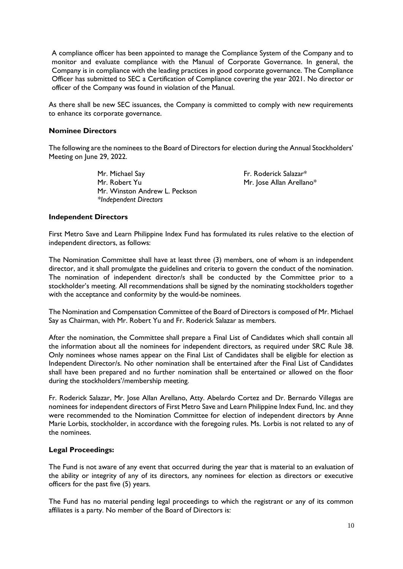A compliance officer has been appointed to manage the Compliance System of the Company and to monitor and evaluate compliance with the Manual of Corporate Governance. In general, the Company is in compliance with the leading practices in good corporate governance. The Compliance Officer has submitted to SEC a Certification of Compliance covering the year 2021. No director or officer of the Company was found in violation of the Manual.

As there shall be new SEC issuances, the Company is committed to comply with new requirements to enhance its corporate governance.

#### **Nominee Directors**

The following are the nominees to the Board of Directors for election during the Annual Stockholders' Meeting on June 29, 2022.

> Mr. Michael Say **Fr. Roderick Salazar**\* Mr. Robert Yu Mr. Jose Allan Arellano\* Mr. Winston Andrew L. Peckson *\*Independent Directors*

#### **Independent Directors**

First Metro Save and Learn Philippine Index Fund has formulated its rules relative to the election of independent directors, as follows:

The Nomination Committee shall have at least three (3) members, one of whom is an independent director, and it shall promulgate the guidelines and criteria to govern the conduct of the nomination. The nomination of independent director/s shall be conducted by the Committee prior to a stockholder's meeting. All recommendations shall be signed by the nominating stockholders together with the acceptance and conformity by the would-be nominees.

The Nomination and Compensation Committee of the Board of Directors is composed of Mr. Michael Say as Chairman, with Mr. Robert Yu and Fr. Roderick Salazar as members.

After the nomination, the Committee shall prepare a Final List of Candidates which shall contain all the information about all the nominees for independent directors, as required under SRC Rule 38. Only nominees whose names appear on the Final List of Candidates shall be eligible for election as Independent Director/s. No other nomination shall be entertained after the Final List of Candidates shall have been prepared and no further nomination shall be entertained or allowed on the floor during the stockholders'/membership meeting.

Fr. Roderick Salazar, Mr. Jose Allan Arellano, Atty. Abelardo Cortez and Dr. Bernardo Villegas are nominees for independent directors of First Metro Save and Learn Philippine Index Fund, Inc. and they were recommended to the Nomination Committee for election of independent directors by Anne Marie Lorbis, stockholder, in accordance with the foregoing rules. Ms. Lorbis is not related to any of the nominees.

#### **Legal Proceedings:**

The Fund is not aware of any event that occurred during the year that is material to an evaluation of the ability or integrity of any of its directors, any nominees for election as directors or executive officers for the past five (5) years.

The Fund has no material pending legal proceedings to which the registrant or any of its common affiliates is a party. No member of the Board of Directors is: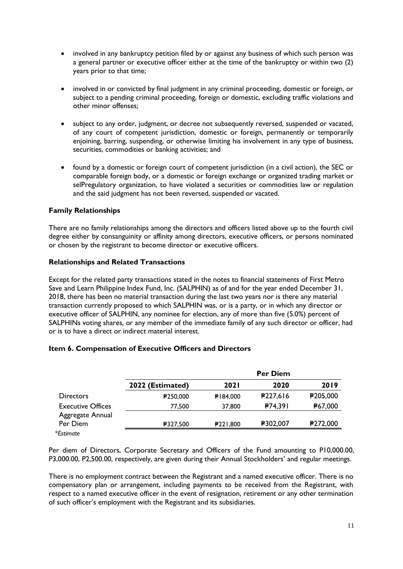- involved in any bankruptcy petition filed by or against any business of which such person was a general partner or executive officer either at the time of the bankruptcy or within two (2) years prior to that time;
- involved in or convicted by final judgment in any criminal proceeding, domestic or foreign, or subject to a pending criminal proceeding, foreign or domestic, excluding traffic violations and other minor offenses;
- subject to any order, judgment, or decree not subsequently reversed, suspended or vacated, of any court of competent jurisdiction, domestic or foreign, permanently or temporarily enjoining, barring, suspending, or otherwise limiting his involvement in any type of business, securities, commodities or banking activities; and
- found by a domestic or foreign court of competent jurisdiction (in a civil action), the SEC or comparable foreign body, or a domestic or foreign exchange or organized trading market or selPregulatory organization, to have violated a securities or commodities law or regulation and the said judgment has not been reversed, suspended or vacated.

## **Family Relationships**

There are no family relationships among the directors and officers listed above up to the fourth civil degree either by consanguinity or affinity among directors, executive officers, or persons nominated or chosen by the registrant to become director or executive officers.

## **Relationships and Related Transactions**

Except for the related party transactions stated in the notes to financial statements of First Metro Save and Learn Philippine Index Fund, Inc. (SALPHIN) as of and for the year ended December 31, 2018, there has been no material transaction during the last two years nor is there any material transaction currently proposed to which SALPHIN was, or is a party, or in which any director or executive officer of SALPHIN, any nominee for election, any of more than five (5.0%) percent of SALPHINs voting shares, or any member of the immediate family of any such director or officer, had or is to have a direct or indirect material interest.

#### **Item 6. Compensation of Executive Officers and Directors**

|                              |                  | <b>Per Diem</b> |          |          |
|------------------------------|------------------|-----------------|----------|----------|
|                              | 2022 (Estimated) | <b>2021</b>     | 2020     | 2019     |
| <b>Directors</b>             | ₽250,000         | ₽184.000        | P227,616 | ₽205,000 |
| <b>Executive Offices</b>     | 77,500           | 37,800          | P74,391  | ₽67,000  |
| Aggregate Annual<br>Per Diem | ₽327,500         | P221,800        | ₽302,007 | ₽272,000 |
| *Estimate                    |                  |                 |          |          |

Per diem of Directors, Corporate Secretary and Officers of the Fund amounting to P10,000.00, P3,000.00, P2,500.00, respectively, are given during their Annual Stockholders' and regular meetings.

There is no employment contract between the Registrant and a named executive officer. There is no compensatory plan or arrangement, including payments to be received from the Registrant, with respect to a named executive officer in the event of resignation, retirement or any other termination of such officer's employment with the Registrant and its subsidiaries.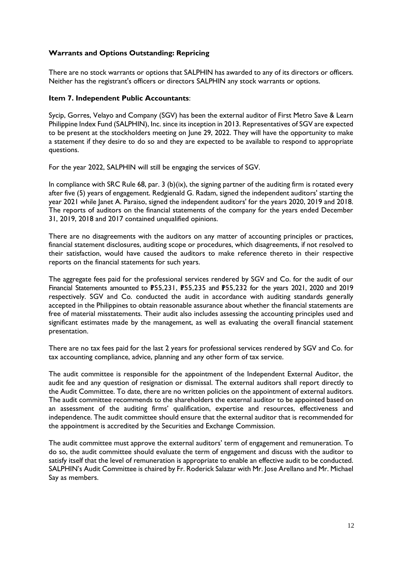# **Warrants and Options Outstanding: Repricing**

There are no stock warrants or options that SALPHIN has awarded to any of its directors or officers. Neither has the registrant's officers or directors SALPHIN any stock warrants or options.

#### **Item 7. Independent Public Accountants**:

Sycip, Gorres, Velayo and Company (SGV) has been the external auditor of First Metro Save & Learn Philippine Index Fund (SALPHIN), Inc. since its inception in 2013. Representatives of SGV are expected to be present at the stockholders meeting on June 29, 2022. They will have the opportunity to make a statement if they desire to do so and they are expected to be available to respond to appropriate questions.

For the year 2022, SALPHIN will still be engaging the services of SGV.

In compliance with SRC Rule 68, par. 3 (b)(ix), the signing partner of the auditing firm is rotated every after five (5) years of engagement. Redgienald G. Radam, signed the independent auditors' starting the year 2021 while Janet A. Paraiso, signed the independent auditors' for the years 2020, 2019 and 2018. The reports of auditors on the financial statements of the company for the years ended December 31, 2019, 2018 and 2017 contained unqualified opinions.

There are no disagreements with the auditors on any matter of accounting principles or practices, financial statement disclosures, auditing scope or procedures, which disagreements, if not resolved to their satisfaction, would have caused the auditors to make reference thereto in their respective reports on the financial statements for such years.

The aggregate fees paid for the professional services rendered by SGV and Co. for the audit of our Financial Statements amounted to P55,231, P55,235 and P55,232 for the years 2021, 2020 and 2019 respectively. SGV and Co. conducted the audit in accordance with auditing standards generally accepted in the Philippines to obtain reasonable assurance about whether the financial statements are free of material misstatements. Their audit also includes assessing the accounting principles used and significant estimates made by the management, as well as evaluating the overall financial statement presentation.

There are no tax fees paid for the last 2 years for professional services rendered by SGV and Co. for tax accounting compliance, advice, planning and any other form of tax service.

The audit committee is responsible for the appointment of the Independent External Auditor, the audit fee and any question of resignation or dismissal. The external auditors shall report directly to the Audit Committee. To date, there are no written policies on the appointment of external auditors. The audit committee recommends to the shareholders the external auditor to be appointed based on an assessment of the auditing firms' qualification, expertise and resources, effectiveness and independence. The audit committee should ensure that the external auditor that is recommended for the appointment is accredited by the Securities and Exchange Commission.

The audit committee must approve the external auditors' term of engagement and remuneration. To do so, the audit committee should evaluate the term of engagement and discuss with the auditor to satisfy itself that the level of remuneration is appropriate to enable an effective audit to be conducted. SALPHIN's Audit Committee is chaired by Fr. Roderick Salazar with Mr. Jose Arellano and Mr. Michael Say as members.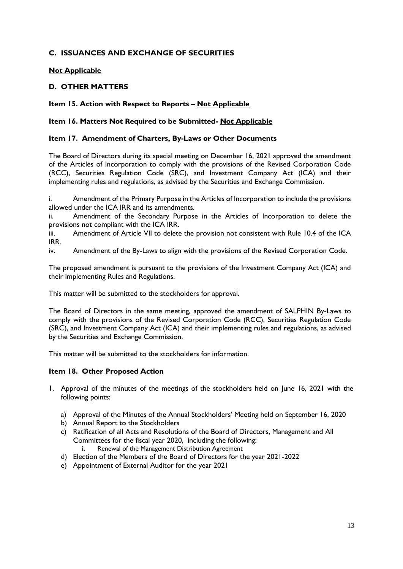# **C. ISSUANCES AND EXCHANGE OF SECURITIES**

# **Not Applicable**

# **D. OTHER MATTERS**

## **Item 15. Action with Respect to Reports – Not Applicable**

# **Item 16. Matters Not Required to be Submitted- Not Applicable**

## **Item 17. Amendment of Charters, By-Laws or Other Documents**

The Board of Directors during its special meeting on December 16, 2021 approved the amendment of the Articles of Incorporation to comply with the provisions of the Revised Corporation Code (RCC), Securities Regulation Code (SRC), and Investment Company Act (ICA) and their implementing rules and regulations, as advised by the Securities and Exchange Commission.

i. Amendment of the Primary Purpose in the Articles of Incorporation to include the provisions allowed under the ICA IRR and its amendments.

ii. Amendment of the Secondary Purpose in the Articles of Incorporation to delete the provisions not compliant with the ICA IRR.

iii. Amendment of Article VII to delete the provision not consistent with Rule 10.4 of the ICA IRR.

iv. Amendment of the By-Laws to align with the provisions of the Revised Corporation Code.

The proposed amendment is pursuant to the provisions of the Investment Company Act (ICA) and their implementing Rules and Regulations.

This matter will be submitted to the stockholders for approval.

The Board of Directors in the same meeting, approved the amendment of SALPHIN By-Laws to comply with the provisions of the Revised Corporation Code (RCC), Securities Regulation Code (SRC), and Investment Company Act (ICA) and their implementing rules and regulations, as advised by the Securities and Exchange Commission.

This matter will be submitted to the stockholders for information.

#### **Item 18. Other Proposed Action**

- 1. Approval of the minutes of the meetings of the stockholders held on June 16, 2021 with the following points:
	- a) Approval of the Minutes of the Annual Stockholders' Meeting held on September 16, 2020
	- b) Annual Report to the Stockholders
	- c) Ratification of all Acts and Resolutions of the Board of Directors, Management and All Committees for the fiscal year 2020, including the following: i. Renewal of the Management Distribution Agreement
	- d) Election of the Members of the Board of Directors for the year 2021-2022
	- e) Appointment of External Auditor for the year 2021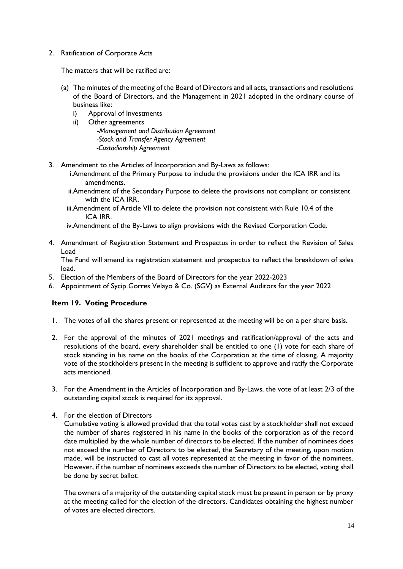2. Ratification of Corporate Acts

The matters that will be ratified are:

- (a) The minutes of the meeting of the Board of Directors and all acts, transactions and resolutions of the Board of Directors, and the Management in 2021 adopted in the ordinary course of business like:
	- i) Approval of Investments
	- ii) Other agreements

 -*Management and Distribution Agreement -Stock and Transfer Agency Agreement -Custodianship Agreement*

- 3. Amendment to the Articles of Incorporation and By-Laws as follows:
	- i.Amendment of the Primary Purpose to include the provisions under the ICA IRR and its amendments.
	- ii.Amendment of the Secondary Purpose to delete the provisions not compliant or consistent with the ICA IRR.
	- iii.Amendment of Article VII to delete the provision not consistent with Rule 10.4 of the ICA IRR.

iv.Amendment of the By-Laws to align provisions with the Revised Corporation Code.

4. Amendment of Registration Statement and Prospectus in order to reflect the Revision of Sales Load

The Fund will amend its registration statement and prospectus to reflect the breakdown of sales load.

- 5. Election of the Members of the Board of Directors for the year 2022-2023
- 6. Appointment of Sycip Gorres Velayo & Co. (SGV) as External Auditors for the year 2022

# **Item 19. Voting Procedure**

- 1. The votes of all the shares present or represented at the meeting will be on a per share basis.
- 2. For the approval of the minutes of 2021 meetings and ratification/approval of the acts and resolutions of the board, every shareholder shall be entitled to one (1) vote for each share of stock standing in his name on the books of the Corporation at the time of closing. A majority vote of the stockholders present in the meeting is sufficient to approve and ratify the Corporate acts mentioned.
- 3. For the Amendment in the Articles of Incorporation and By-Laws, the vote of at least 2/3 of the outstanding capital stock is required for its approval.
- 4. For the election of Directors

Cumulative voting is allowed provided that the total votes cast by a stockholder shall not exceed the number of shares registered in his name in the books of the corporation as of the record date multiplied by the whole number of directors to be elected. If the number of nominees does not exceed the number of Directors to be elected, the Secretary of the meeting, upon motion made, will be instructed to cast all votes represented at the meeting in favor of the nominees. However, if the number of nominees exceeds the number of Directors to be elected, voting shall be done by secret ballot.

The owners of a majority of the outstanding capital stock must be present in person or by proxy at the meeting called for the election of the directors. Candidates obtaining the highest number of votes are elected directors.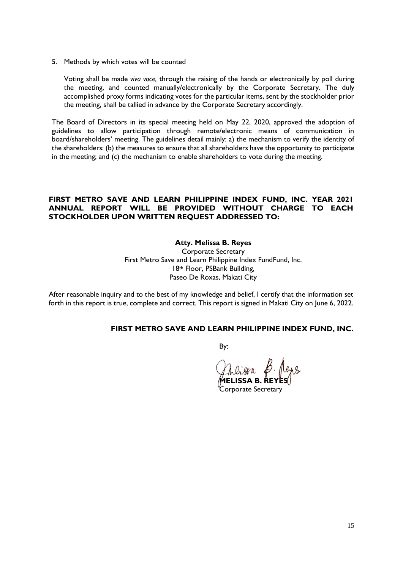5. Methods by which votes will be counted

Voting shall be made *viva voce,* through the raising of the hands or electronically by poll during the meeting, and counted manually/electronically by the Corporate Secretary. The duly accomplished proxy forms indicating votes for the particular items, sent by the stockholder prior the meeting, shall be tallied in advance by the Corporate Secretary accordingly.

The Board of Directors in its special meeting held on May 22, 2020, approved the adoption of guidelines to allow participation through remote/electronic means of communication in board/shareholders' meeting. The guidelines detail mainly: a) the mechanism to verify the identity of the shareholders: (b) the measures to ensure that all shareholders have the opportunity to participate in the meeting; and (c) the mechanism to enable shareholders to vote during the meeting.

### **FIRST METRO SAVE AND LEARN PHILIPPINE INDEX FUND, INC. YEAR 2021 ANNUAL REPORT WILL BE PROVIDED WITHOUT CHARGE TO EACH STOCKHOLDER UPON WRITTEN REQUEST ADDRESSED TO:**

#### **Atty. Melissa B. Reyes**

Corporate Secretary First Metro Save and Learn Philippine Index FundFund, Inc. 18th Floor, PSBank Building, Paseo De Roxas, Makati City

After reasonable inquiry and to the best of my knowledge and belief, I certify that the information set forth in this report is true, complete and correct. This report is signed in Makati City on June 6, 2022.

#### **FIRST METRO SAVE AND LEARN PHILIPPINE INDEX FUND, INC.**

By:

**MELISSA B. REYES**

Corporate Secretary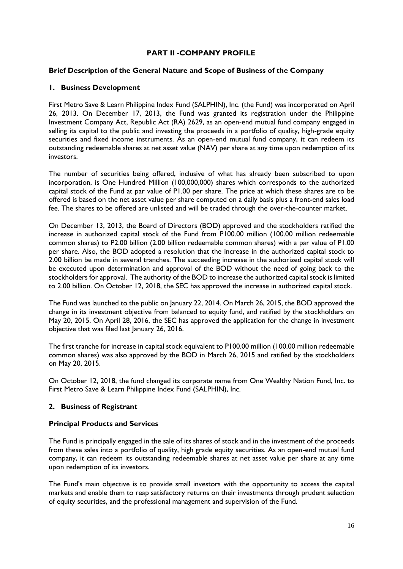## **PART II -COMPANY PROFILE**

#### **Brief Description of the General Nature and Scope of Business of the Company**

## **1. Business Development**

First Metro Save & Learn Philippine Index Fund (SALPHIN), Inc. (the Fund) was incorporated on April 26, 2013. On December 17, 2013, the Fund was granted its registration under the Philippine Investment Company Act, Republic Act (RA) 2629, as an open-end mutual fund company engaged in selling its capital to the public and investing the proceeds in a portfolio of quality, high-grade equity securities and fixed income instruments. As an open-end mutual fund company, it can redeem its outstanding redeemable shares at net asset value (NAV) per share at any time upon redemption of its investors.

The number of securities being offered, inclusive of what has already been subscribed to upon incorporation, is One Hundred Million (100,000,000) shares which corresponds to the authorized capital stock of the Fund at par value of P1.00 per share. The price at which these shares are to be offered is based on the net asset value per share computed on a daily basis plus a front-end sales load fee. The shares to be offered are unlisted and will be traded through the over-the-counter market.

On December 13, 2013, the Board of Directors (BOD) approved and the stockholders ratified the increase in authorized capital stock of the Fund from P100.00 million (100.00 million redeemable common shares) to P2.00 billion (2.00 billion redeemable common shares) with a par value of P1.00 per share. Also, the BOD adopted a resolution that the increase in the authorized capital stock to 2.00 billion be made in several tranches. The succeeding increase in the authorized capital stock will be executed upon determination and approval of the BOD without the need of going back to the stockholders for approval. The authority of the BOD to increase the authorized capital stock is limited to 2.00 billion. On October 12, 2018, the SEC has approved the increase in authorized capital stock.

The Fund was launched to the public on January 22, 2014. On March 26, 2015, the BOD approved the change in its investment objective from balanced to equity fund, and ratified by the stockholders on May 20, 2015. On April 28, 2016, the SEC has approved the application for the change in investment objective that was filed last January 26, 2016.

The first tranche for increase in capital stock equivalent to P100.00 million (100.00 million redeemable common shares) was also approved by the BOD in March 26, 2015 and ratified by the stockholders on May 20, 2015.

On October 12, 2018, the fund changed its corporate name from One Wealthy Nation Fund, Inc. to First Metro Save & Learn Philippine Index Fund (SALPHIN), Inc.

# **2. Business of Registrant**

#### **Principal Products and Services**

The Fund is principally engaged in the sale of its shares of stock and in the investment of the proceeds from these sales into a portfolio of quality, high grade equity securities. As an open-end mutual fund company, it can redeem its outstanding redeemable shares at net asset value per share at any time upon redemption of its investors.

The Fund's main objective is to provide small investors with the opportunity to access the capital markets and enable them to reap satisfactory returns on their investments through prudent selection of equity securities, and the professional management and supervision of the Fund.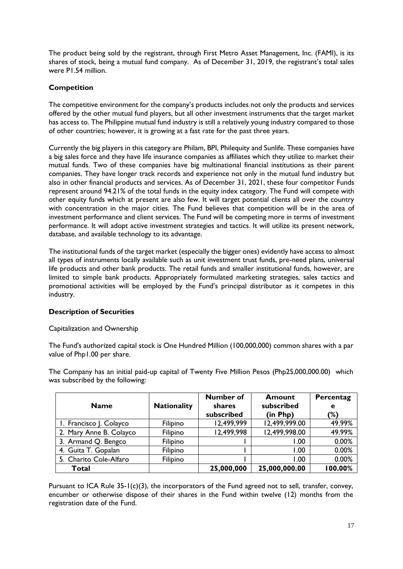The product being sold by the registrant, through First Metro Asset Management, Inc. (FAMI), is its shares of stock, being a mutual fund company. As of December 31, 2019, the registrant's total sales were P1.54 million.

# **Competition**

The competitive environment for the company's products includes not only the products and services offered by the other mutual fund players, but all other investment instruments that the target market has access to. The Philippine mutual fund industry is still a relatively young industry compared to those of other countries; however, it is growing at a fast rate for the past three years.

Currently the big players in this category are Philam, BPI, Philequity and Sunlife. These companies have a big sales force and they have life insurance companies as affiliates which they utilize to market their mutual funds. Two of these companies have big multinational financial institutions as their parent companies. They have longer track records and experience not only in the mutual fund industry but also in other financial products and services. As of December 31, 2021, these four competitor Funds represent around 94.21% of the total funds in the equity index category. The Fund will compete with other equity funds which at present are also few. It will target potential clients all over the country with concentration in the major cities. The Fund believes that competition will be in the area of investment performance and client services. The Fund will be competing more in terms of investment performance. It will adopt active investment strategies and tactics. It will utilize its present network, database, and available technology to its advantage.

The institutional funds of the target market (especially the bigger ones) evidently have access to almost all types of instruments locally available such as unit investment trust funds, pre-need plans, universal life products and other bank products. The retail funds and smaller institutional funds, however, are limited to simple bank products. Appropriately formulated marketing strategies, sales tactics and promotional activities will be employed by the Fund's principal distributor as it competes in this industry.

# **Description of Securities**

Capitalization and Ownership

The Fund's authorized capital stock is One Hundred Million (100,000,000) common shares with a par value of Php1.00 per share.

The Company has an initial paid-up capital of Twenty Five Million Pesos (Php25,000,000.00) which was subscribed by the following:

| <b>Name</b>             | <b>Nationality</b> | <b>Number of</b><br>shares<br>subscribed | <b>Amount</b><br>subscribed<br>(in Php) | Percentag<br>e<br>$(\%)$ |
|-------------------------|--------------------|------------------------------------------|-----------------------------------------|--------------------------|
| I. Francisco J. Colayco | Filipino           | 12,499,999                               | 12,499,999.00                           | 49.99%                   |
| 2. Mary Anne B. Colayco | Filipino           | 12,499,998                               | 12,499,998.00                           | 49.99%                   |
| 3. Armand Q. Bengco     | Filipino           |                                          | 1.00                                    | 0.00%                    |
| 4. Guita T. Gopalan     | Filipino           |                                          | 1.00                                    | 0.00%                    |
| 5. Charito Cole-Alfaro  | Filipino           |                                          | 1.00                                    | 0.00%                    |
| <b>Total</b>            |                    | 25,000,000                               | 25,000,000.00                           | 100.00%                  |

Pursuant to ICA Rule 35-1(c)(3), the incorporators of the Fund agreed not to sell, transfer, convey, encumber or otherwise dispose of their shares in the Fund within twelve (12) months from the registration date of the Fund.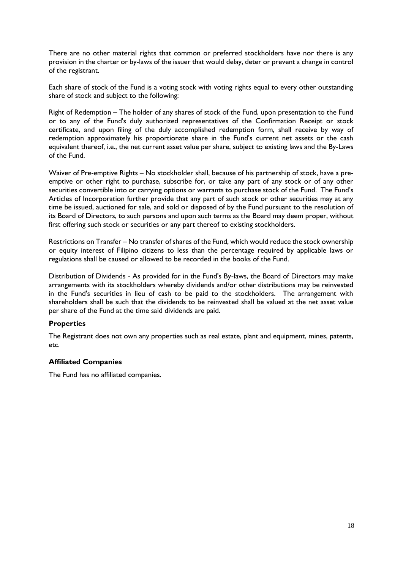There are no other material rights that common or preferred stockholders have nor there is any provision in the charter or by-laws of the issuer that would delay, deter or prevent a change in control of the registrant.

Each share of stock of the Fund is a voting stock with voting rights equal to every other outstanding share of stock and subject to the following:

Right of Redemption – The holder of any shares of stock of the Fund, upon presentation to the Fund or to any of the Fund's duly authorized representatives of the Confirmation Receipt or stock certificate, and upon filing of the duly accomplished redemption form, shall receive by way of redemption approximately his proportionate share in the Fund's current net assets or the cash equivalent thereof, i.e., the net current asset value per share, subject to existing laws and the By-Laws of the Fund.

Waiver of Pre-emptive Rights – No stockholder shall, because of his partnership of stock, have a preemptive or other right to purchase, subscribe for, or take any part of any stock or of any other securities convertible into or carrying options or warrants to purchase stock of the Fund. The Fund's Articles of Incorporation further provide that any part of such stock or other securities may at any time be issued, auctioned for sale, and sold or disposed of by the Fund pursuant to the resolution of its Board of Directors, to such persons and upon such terms as the Board may deem proper, without first offering such stock or securities or any part thereof to existing stockholders.

Restrictions on Transfer – No transfer of shares of the Fund, which would reduce the stock ownership or equity interest of Filipino citizens to less than the percentage required by applicable laws or regulations shall be caused or allowed to be recorded in the books of the Fund.

Distribution of Dividends - As provided for in the Fund's By-laws, the Board of Directors may make arrangements with its stockholders whereby dividends and/or other distributions may be reinvested in the Fund's securities in lieu of cash to be paid to the stockholders. The arrangement with shareholders shall be such that the dividends to be reinvested shall be valued at the net asset value per share of the Fund at the time said dividends are paid.

# **Properties**

The Registrant does not own any properties such as real estate, plant and equipment, mines, patents, etc.

#### **Affiliated Companies**

The Fund has no affiliated companies.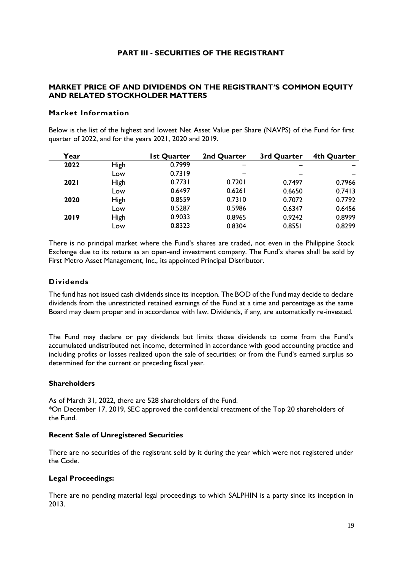## **PART III - SECURITIES OF THE REGISTRANT**

# **MARKET PRICE OF AND DIVIDENDS ON THE REGISTRANT'S COMMON EQUITY AND RELATED STOCKHOLDER MATTERS**

### **Market Information**

Below is the list of the highest and lowest Net Asset Value per Share (NAVPS) of the Fund for first quarter of 2022, and for the years 2021, 2020 and 2019.

| Year        |      | 1st Quarter | 2nd Quarter | 3rd Quarter | 4th Quarter |
|-------------|------|-------------|-------------|-------------|-------------|
| 2022        | High | 0.7999      |             |             |             |
|             | Low  | 0.7319      |             |             |             |
| <b>2021</b> | High | 0.7731      | 0.7201      | 0.7497      | 0.7966      |
|             | Low  | 0.6497      | 0.6261      | 0.6650      | 0.7413      |
| 2020        | High | 0.8559      | 0.7310      | 0.7072      | 0.7792      |
|             | Low  | 0.5287      | 0.5986      | 0.6347      | 0.6456      |
| 2019        | High | 0.9033      | 0.8965      | 0.9242      | 0.8999      |
|             | Low  | 0.8323      | 0.8304      | 0.8551      | 0.8299      |

There is no principal market where the Fund's shares are traded, not even in the Philippine Stock Exchange due to its nature as an open-end investment company. The Fund's shares shall be sold by First Metro Asset Management, Inc., its appointed Principal Distributor.

## **Dividends**

The fund has not issued cash dividends since its inception. The BOD of the Fund may decide to declare dividends from the unrestricted retained earnings of the Fund at a time and percentage as the same Board may deem proper and in accordance with law. Dividends, if any, are automatically re-invested.

The Fund may declare or pay dividends but limits those dividends to come from the Fund's accumulated undistributed net income, determined in accordance with good accounting practice and including profits or losses realized upon the sale of securities; or from the Fund's earned surplus so determined for the current or preceding fiscal year.

#### **Shareholders**

As of March 31, 2022, there are 528 shareholders of the Fund. \*On December 17, 2019, SEC approved the confidential treatment of the Top 20 shareholders of the Fund.

#### **Recent Sale of Unregistered Securities**

There are no securities of the registrant sold by it during the year which were not registered under the Code.

#### **Legal Proceedings:**

There are no pending material legal proceedings to which SALPHIN is a party since its inception in 2013.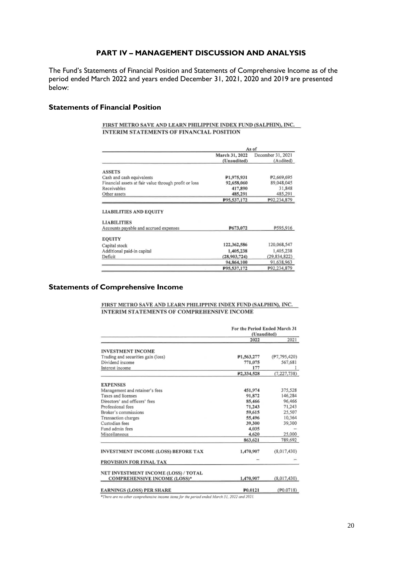#### **PART IV – MANAGEMENT DISCUSSION AND ANALYSIS**

The Fund's Statements of Financial Position and Statements of Comprehensive Income as of the period ended March 2022 and years ended December 31, 2021, 2020 and 2019 are presented below:

#### **Statements of Financial Position**

#### FIRST METRO SAVE AND LEARN PHILIPPINE INDEX FUND (SALPHIN), INC. **INTERIM STATEMENTS OF FINANCIAL POSITION**

|                                                                                              | As of          |                   |  |
|----------------------------------------------------------------------------------------------|----------------|-------------------|--|
|                                                                                              | March 31, 2022 | December 31, 2021 |  |
|                                                                                              | (Unaudited)    | (Audited)         |  |
| <b>ASSETS</b>                                                                                |                |                   |  |
| Cash and cash equivalents                                                                    | P1,975,931     | #2,669,695        |  |
| Financial assets at fair value through profit or loss                                        | 92,658,060     | 89,048,045        |  |
| Receivables                                                                                  | 417,890        | 31,848            |  |
| Other assets                                                                                 | 485,291        | 485,291           |  |
|                                                                                              | P95.537,172    | P92.234,879       |  |
| <b>LIABILITIES AND EQUITY</b><br><b>LIABILITIES</b><br>Accounts payable and accrued expenses | P673,072       | P595,916          |  |
| <b>EQUITY</b>                                                                                |                |                   |  |
| Capital stock                                                                                | 122,362,586    | 120,068,547       |  |
| Additional paid-in capital                                                                   | 1,405,238      | 1,405,238         |  |
| Deficit                                                                                      | (28,903,724)   | (29.834.822)      |  |
|                                                                                              | 94,864,100     | 91,638,963        |  |
|                                                                                              | P95.537.172    | P92 234 879       |  |

## **Statements of Comprehensive Income**

FIRST METRO SAVE AND LEARN PHILIPPINE INDEX FUND (SALPHIN), INC. **INTERIM STATEMENTS OF COMPREHENSIVE INCOME** 

|                                            | For the Period Ended March 31 |              |
|--------------------------------------------|-------------------------------|--------------|
|                                            | (Unaudited)                   |              |
|                                            | 2022                          | 2021         |
| <b>INVESTMENT INCOME</b>                   |                               |              |
| Trading and securities gain (loss)         | P1,563,277                    | (P7.795.420) |
| Dividend income                            | 771,075                       | 567,681      |
| Interest income                            | 177                           |              |
|                                            | P <sub>2.334.528</sub>        | (7,227,738)  |
| <b>EXPENSES</b>                            |                               |              |
| Management and retainer's fees             | 451,974                       | 375,528      |
| Taxes and licenses                         | 91.872                        | 146.284      |
| Directors' and officers' fees              | 85,466                        | 96,466       |
| Professional fees                          | 71,243                        | 71,243       |
| Broker's commissions                       | 59,615                        | 25,507       |
| Transaction charges                        | 55,496                        | 10,364       |
| Custodian fees                             | 39,300                        | 39,300       |
| Fund admin fees                            | 4,035                         |              |
| 4,620<br>Miscellaneous                     | 25,000                        |              |
|                                            | 863,621                       | 789,692      |
| <b>INVESTMENT INCOME (LOSS) BEFORE TAX</b> | 1,470,907                     | (8,017,430)  |
| PROVISION FOR FINAL TAX                    |                               |              |
| NET INVESTMENT INCOME (LOSS) / TOTAL       |                               |              |
| <b>COMPREHENSIVE INCOME (LOSS)*</b>        | 1,470,907                     | (8,017,430)  |
| <b>EARNINGS (LOSS) PER SHARE</b>           | P <sub>0.0121</sub>           | (P0.0718)    |

\*There are no other comprehensive income items for the period ended March 31, 2022 and 2021.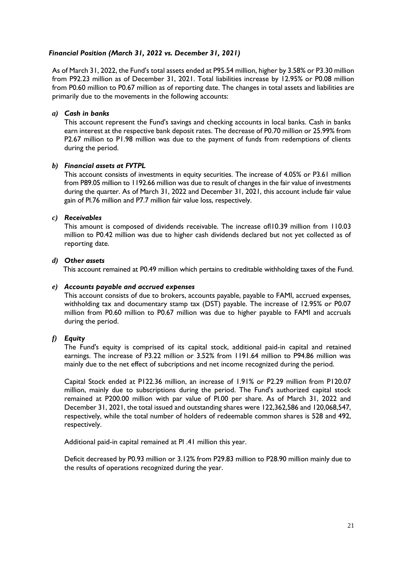## *Financial Position (March 31, 2022 vs. December 31, 2021)*

As of March 31, 2022, the Fund's total assets ended at P95.54 million, higher by 3.58% or P3.30 million from P92.23 million as of December 31, 2021. Total liabilities increase by 12.95% or P0.08 million from P0.60 million to P0.67 million as of reporting date. The changes in total assets and liabilities are primarily due to the movements in the following accounts:

### *a) Cash in banks*

This account represent the Fund's savings and checking accounts in local banks. Cash in banks earn interest at the respective bank deposit rates. The decrease of P0.70 million or 25.99% from P2.67 million to P1.98 million was due to the payment of funds from redemptions of clients during the period.

## *b) Financial assets at FVTPL*

This account consists of investments in equity securities. The increase of 4.05% or P3.61 million from P89.05 million to 1192.66 million was due to result of changes in the fair value of investments during the quarter. As of March 31, 2022 and December 31, 2021, this account include fair value gain of Pl.76 million and P7.7 million fair value loss, respectively.

## *c) Receivables*

This amount is composed of dividends receivable. The increase ofl10.39 million from 110.03 million to P0.42 million was due to higher cash dividends declared but not yet collected as of reporting date.

#### *d) Other assets*

This account remained at P0.49 million which pertains to creditable withholding taxes of the Fund.

### *e) Accounts payable and accrued expenses*

This account consists of due to brokers, accounts payable, payable to FAMI, accrued expenses, withholding tax and documentary stamp tax (DST) payable. The increase of 12.95% or P0.07 million from P0.60 million to P0.67 million was due to higher payable to FAMI and accruals during the period.

# *f) Equity*

The Fund's equity is comprised of its capital stock, additional paid-in capital and retained earnings. The increase of P3.22 million or 3.52% from 1191.64 million to P94.86 million was mainly due to the net effect of subcriptions and net income recognized during the period.

Capital Stock ended at P122.36 million, an increase of 1.91% or P2.29 million from P120.07 million, mainly due to subscriptions during the period. The Fund's authorized capital stock remained at P200.00 million with par value of Pl.00 per share. As of March 31, 2022 and December 31, 2021, the total issued and outstanding shares were 122,362,586 and 120,068,547, respectively, while the total number of holders of redeemable common shares is 528 and 492, respectively.

Additional paid-in capital remained at Pl .41 million this year.

Deficit decreased by P0.93 million or 3.12% from P29.83 million to P28.90 million mainly due to the results of operations recognized during the year.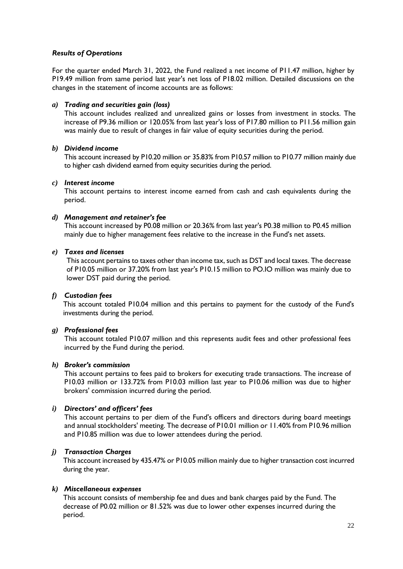## *Results of Operations*

For the quarter ended March 31, 2022, the Fund realized a net income of P11.47 million, higher by P19.49 million from same period last year's net loss of P18.02 million. Detailed discussions on the changes in the statement of income accounts are as follows:

## *a) Trading and securities gain (loss)*

This account includes realized and unrealized gains or losses from investment in stocks. The increase of P9.36 million or 120.05% from last year's loss of P17.80 million to P11.56 million gain was mainly due to result of changes in fair value of equity securities during the period.

#### *b) Dividend income*

This account increased by P10.20 million or 35.83% from P10.57 million to P10.77 million mainly due to higher cash dividend earned from equity securities during the period.

#### *c) Interest income*

This account pertains to interest income earned from cash and cash equivalents during the period.

#### *d) Management and retainer's fee*

This account increased by P0.08 million or 20.36% from last year's P0.38 million to P0.45 million mainly due to higher management fees relative to the increase in the Fund's net assets.

#### *e) Taxes and licenses*

This account pertains to taxes other than income tax, such as DST and local taxes. The decrease of P10.05 million or 37.20% from last year's P10.15 million to PO.IO million was mainly due to lower DST paid during the period.

# *f) Custodian fees*

This account totaled P10.04 million and this pertains to payment for the custody of the Fund's investments during the period.

#### *g) Professional fees*

This account totaled P10.07 million and this represents audit fees and other professional fees incurred by the Fund during the period.

#### *h) Broker's commission*

This account pertains to fees paid to brokers for executing trade transactions. The increase of P10.03 million or 133.72% from P10.03 million last year to P10.06 million was due to higher brokers' commission incurred during the period.

# *i) Directors' and officers' fees*

This account pertains to per diem of the Fund's officers and directors during board meetings and annual stockholders' meeting. The decrease of P10.01 million or 11.40% from P10.96 million and P10.85 million was due to lower attendees during the period.

# *j) Transaction Charges*

This account increased by 435.47% or P10.05 million mainly due to higher transaction cost incurred during the year.

#### *k) Miscellaneous expenses*

This account consists of membership fee and dues and bank charges paid by the Fund. The decrease of P0.02 million or 81.52% was due to lower other expenses incurred during the period.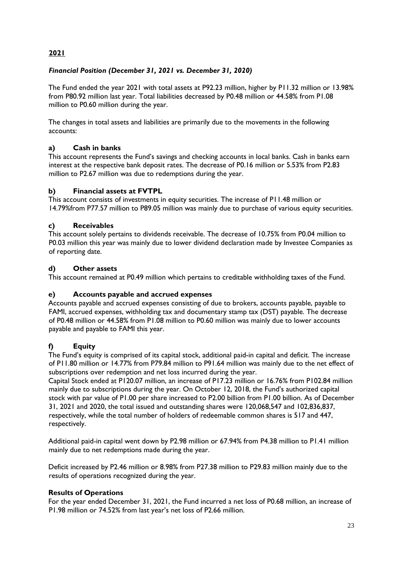# **2021**

# *Financial Position (December 31, 2021 vs. December 31, 2020)*

The Fund ended the year 2021 with total assets at P92.23 million, higher by P11.32 million or 13.98% from P80.92 million last year. Total liabilities decreased by P0.48 million or 44.58% from P1.08 million to P0.60 million during the year.

The changes in total assets and liabilities are primarily due to the movements in the following accounts:

# **a) Cash in banks**

This account represents the Fund's savings and checking accounts in local banks. Cash in banks earn interest at the respective bank deposit rates. The decrease of P0.16 million or 5.53% from P2.83 million to P2.67 million was due to redemptions during the year.

# **b) Financial assets at FVTPL**

This account consists of investments in equity securities. The increase of P11.48 million or 14.79%from P77.57 million to P89.05 million was mainly due to purchase of various equity securities.

# **c) Receivables**

This account solely pertains to dividends receivable. The decrease of 10.75% from P0.04 million to P0.03 million this year was mainly due to lower dividend declaration made by Investee Companies as of reporting date.

# **d) Other assets**

This account remained at P0.49 million which pertains to creditable withholding taxes of the Fund.

# **e) Accounts payable and accrued expenses**

Accounts payable and accrued expenses consisting of due to brokers, accounts payable, payable to FAMI, accrued expenses, withholding tax and documentary stamp tax (DST) payable. The decrease of P0.48 million or 44.58% from P1.08 million to P0.60 million was mainly due to lower accounts payable and payable to FAMI this year.

# **f) Equity**

The Fund's equity is comprised of its capital stock, additional paid-in capital and deficit. The increase of P11.80 million or 14.77% from P79.84 million to P91.64 million was mainly due to the net effect of subscriptions over redemption and net loss incurred during the year.

Capital Stock ended at P120.07 million, an increase of P17.23 million or 16.76% from P102.84 million mainly due to subscriptions during the year. On October 12, 2018, the Fund's authorized capital stock with par value of P1.00 per share increased to P2.00 billion from P1.00 billion. As of December 31, 2021 and 2020, the total issued and outstanding shares were 120,068,547 and 102,836,837, respectively, while the total number of holders of redeemable common shares is 517 and 447, respectively.

Additional paid-in capital went down by P2.98 million or 67.94% from P4.38 million to P1.41 million mainly due to net redemptions made during the year.

Deficit increased by P2.46 million or 8.98% from P27.38 million to P29.83 million mainly due to the results of operations recognized during the year.

# **Results of Operations**

For the year ended December 31, 2021, the Fund incurred a net loss of P0.68 million, an increase of P1.98 million or 74.52% from last year's net loss of P2.66 million.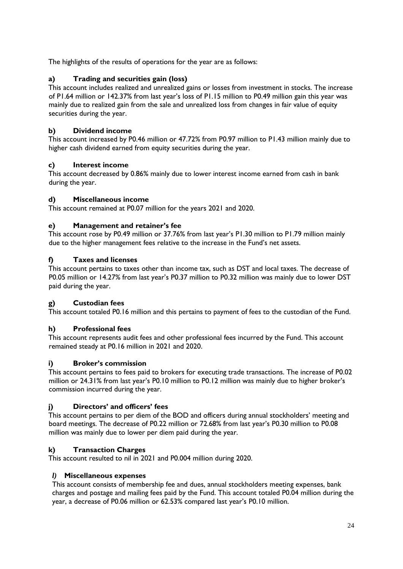The highlights of the results of operations for the year are as follows:

# **a) Trading and securities gain (loss)**

This account includes realized and unrealized gains or losses from investment in stocks. The increase of P1.64 million or 142.37% from last year's loss of P1.15 million to P0.49 million gain this year was mainly due to realized gain from the sale and unrealized loss from changes in fair value of equity securities during the year.

# **b) Dividend income**

This account increased by P0.46 million or 47.72% from P0.97 million to P1.43 million mainly due to higher cash dividend earned from equity securities during the year.

# **c) Interest income**

This account decreased by 0.86% mainly due to lower interest income earned from cash in bank during the year.

# **d) Miscellaneous income**

This account remained at P0.07 million for the years 2021 and 2020.

# **e) Management and retainer's fee**

This account rose by P0.49 million or 37.76% from last year's P1.30 million to P1.79 million mainly due to the higher management fees relative to the increase in the Fund's net assets.

# **f) Taxes and licenses**

This account pertains to taxes other than income tax, such as DST and local taxes. The decrease of P0.05 million or 14.27% from last year's P0.37 million to P0.32 million was mainly due to lower DST paid during the year.

# **g) Custodian fees**

This account totaled P0.16 million and this pertains to payment of fees to the custodian of the Fund.

# **h) Professional fees**

This account represents audit fees and other professional fees incurred by the Fund. This account remained steady at P0.16 million in 2021 and 2020.

# **i) Broker's commission**

This account pertains to fees paid to brokers for executing trade transactions. The increase of P0.02 million or 24.31% from last year's P0.10 million to P0.12 million was mainly due to higher broker's commission incurred during the year.

# **j) Directors' and officers' fees**

This account pertains to per diem of the BOD and officers during annual stockholders' meeting and board meetings. The decrease of P0.22 million or 72.68% from last year's P0.30 million to P0.08 million was mainly due to lower per diem paid during the year.

# **k) Transaction Charges**

This account resulted to nil in 2021 and P0.004 million during 2020.

# *l)* **Miscellaneous expenses**

This account consists of membership fee and dues, annual stockholders meeting expenses, bank charges and postage and mailing fees paid by the Fund. This account totaled P0.04 million during the year, a decrease of P0.06 million or 62.53% compared last year's P0.10 million.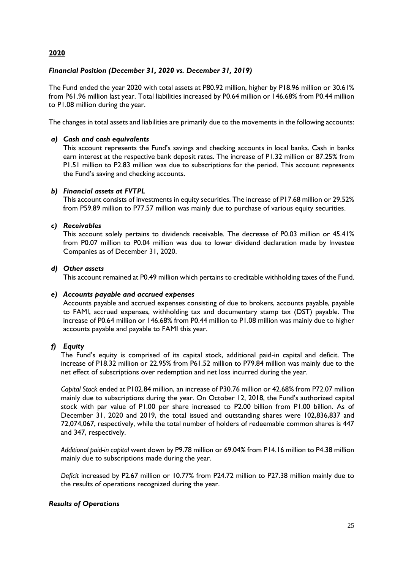# **2020**

# *Financial Position (December 31, 2020 vs. December 31, 2019)*

The Fund ended the year 2020 with total assets at P80.92 million, higher by P18.96 million or 30.61% from P61.96 million last year. Total liabilities increased by P0.64 million or 146.68% from P0.44 million to P1.08 million during the year.

The changes in total assets and liabilities are primarily due to the movements in the following accounts:

## *a) Cash and cash equivalents*

This account represents the Fund's savings and checking accounts in local banks. Cash in banks earn interest at the respective bank deposit rates. The increase of P1.32 million or 87.25% from P1.51 million to P2.83 million was due to subscriptions for the period. This account represents the Fund's saving and checking accounts.

## *b) Financial assets at FVTPL*

This account consists of investments in equity securities. The increase of P17.68 million or 29.52% from P59.89 million to P77.57 million was mainly due to purchase of various equity securities.

## *c) Receivables*

This account solely pertains to dividends receivable. The decrease of P0.03 million or 45.41% from P0.07 million to P0.04 million was due to lower dividend declaration made by Investee Companies as of December 31, 2020.

## *d) Other assets*

This account remained at P0.49 million which pertains to creditable withholding taxes of the Fund.

#### *e) Accounts payable and accrued expenses*

Accounts payable and accrued expenses consisting of due to brokers, accounts payable, payable to FAMI, accrued expenses, withholding tax and documentary stamp tax (DST) payable. The increase of P0.64 million or 146.68% from P0.44 million to P1.08 million was mainly due to higher accounts payable and payable to FAMI this year.

# *f) Equity*

The Fund's equity is comprised of its capital stock, additional paid-in capital and deficit. The increase of P18.32 million or 22.95% from P61.52 million to P79.84 million was mainly due to the net effect of subscriptions over redemption and net loss incurred during the year.

*Capital Stock* ended at P102.84 million, an increase of P30.76 million or 42.68% from P72.07 million mainly due to subscriptions during the year. On October 12, 2018, the Fund's authorized capital stock with par value of P1.00 per share increased to P2.00 billion from P1.00 billion. As of December 31, 2020 and 2019, the total issued and outstanding shares were 102,836,837 and 72,074,067, respectively, while the total number of holders of redeemable common shares is 447 and 347, respectively.

*Additional paid-in capital* went down by P9.78 million or 69.04% from P14.16 million to P4.38 million mainly due to subscriptions made during the year.

*Deficit* increased by P2.67 million or 10.77% from P24.72 million to P27.38 million mainly due to the results of operations recognized during the year.

# *Results of Operations*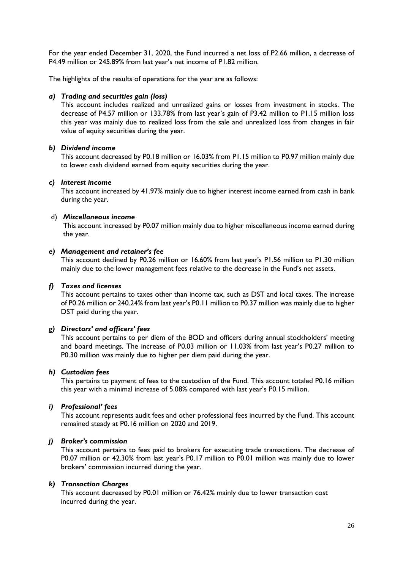For the year ended December 31, 2020, the Fund incurred a net loss of P2.66 million, a decrease of P4.49 million or 245.89% from last year's net income of P1.82 million.

The highlights of the results of operations for the year are as follows:

#### *a) Trading and securities gain (loss)*

This account includes realized and unrealized gains or losses from investment in stocks. The decrease of P4.57 million or 133.78% from last year's gain of P3.42 million to P1.15 million loss this year was mainly due to realized loss from the sale and unrealized loss from changes in fair value of equity securities during the year.

#### *b) Dividend income*

This account decreased by P0.18 million or 16.03% from P1.15 million to P0.97 million mainly due to lower cash dividend earned from equity securities during the year.

#### *c) Interest income*

This account increased by 41.97% mainly due to higher interest income earned from cash in bank during the year.

#### d) *Miscellaneous income*

This account increased by P0.07 million mainly due to higher miscellaneous income earned during the year.

#### *e) Management and retainer's fee*

This account declined by P0.26 million or 16.60% from last year's P1.56 million to P1.30 million mainly due to the lower management fees relative to the decrease in the Fund's net assets.

#### *f) Taxes and licenses*

This account pertains to taxes other than income tax, such as DST and local taxes. The increase of P0.26 million or 240.24% from last year's P0.11 million to P0.37 million was mainly due to higher DST paid during the year.

#### *g) Directors' and officers' fees*

This account pertains to per diem of the BOD and officers during annual stockholders' meeting and board meetings. The increase of P0.03 million or 11.03% from last year's P0.27 million to P0.30 million was mainly due to higher per diem paid during the year.

#### *h) Custodian fees*

This pertains to payment of fees to the custodian of the Fund. This account totaled P0.16 million this year with a minimal increase of 5.08% compared with last year's P0.15 million.

#### *i) Professional' fees*

This account represents audit fees and other professional fees incurred by the Fund. This account remained steady at P0.16 million on 2020 and 2019.

#### *j) Broker's commission*

This account pertains to fees paid to brokers for executing trade transactions. The decrease of P0.07 million or 42.30% from last year's P0.17 million to P0.01 million was mainly due to lower brokers' commission incurred during the year.

#### *k) Transaction Charges*

This account decreased by P0.01 million or 76.42% mainly due to lower transaction cost incurred during the year.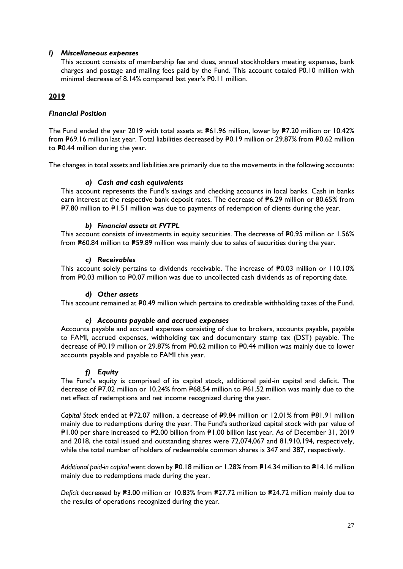## *l) Miscellaneous expenses*

This account consists of membership fee and dues, annual stockholders meeting expenses, bank charges and postage and mailing fees paid by the Fund. This account totaled P0.10 million with minimal decrease of 8.14% compared last year's P0.11 million.

# **2019**

## *Financial Position*

The Fund ended the year 2019 with total assets at P61.96 million, lower by P7.20 million or 10.42% from #69.16 million last year. Total liabilities decreased by #0.19 million or 29.87% from #0.62 million to P0.44 million during the year.

The changes in total assets and liabilities are primarily due to the movements in the following accounts:

# *a) Cash and cash equivalents*

This account represents the Fund's savings and checking accounts in local banks. Cash in banks earn interest at the respective bank deposit rates. The decrease of P6.29 million or 80.65% from  $P7.80$  million to  $P1.51$  million was due to payments of redemption of clients during the year.

## *b) Financial assets at FVTPL*

This account consists of investments in equity securities. The decrease of #0.95 million or 1.56% from  $P60.84$  million to  $P59.89$  million was mainly due to sales of securities during the year.

## *c) Receivables*

This account solely pertains to dividends receivable. The increase of  $P0.03$  million or 110.10% from P0.03 million to P0.07 million was due to uncollected cash dividends as of reporting date.

#### *d) Other assets*

This account remained at P0.49 million which pertains to creditable withholding taxes of the Fund.

#### *e) Accounts payable and accrued expenses*

Accounts payable and accrued expenses consisting of due to brokers, accounts payable, payable to FAMI, accrued expenses, withholding tax and documentary stamp tax (DST) payable. The decrease of P0.19 million or 29.87% from P0.62 million to P0.44 million was mainly due to lower accounts payable and payable to FAMI this year.

# *f) Equity*

The Fund's equity is comprised of its capital stock, additional paid-in capital and deficit. The decrease of P7.02 million or 10.24% from P68.54 million to P61.52 million was mainly due to the net effect of redemptions and net income recognized during the year.

*Capital Stock* ended at P72.07 million, a decrease of P9.84 million or 12.01% from P81.91 million mainly due to redemptions during the year. The Fund's authorized capital stock with par value of =P1.00 per share increased to =P2.00 billion from =P1.00 billion last year. As of December 31, 2019 and 2018, the total issued and outstanding shares were 72,074,067 and 81,910,194, respectively, while the total number of holders of redeemable common shares is 347 and 387, respectively.

*Additional paid-in capital* went down by P0.18 million or 1.28% from P14.34 million to P14.16 million mainly due to redemptions made during the year.

*Deficit* decreased by **P3.00** million or 10.83% from **P27.72** million to **P24.72** million mainly due to the results of operations recognized during the year.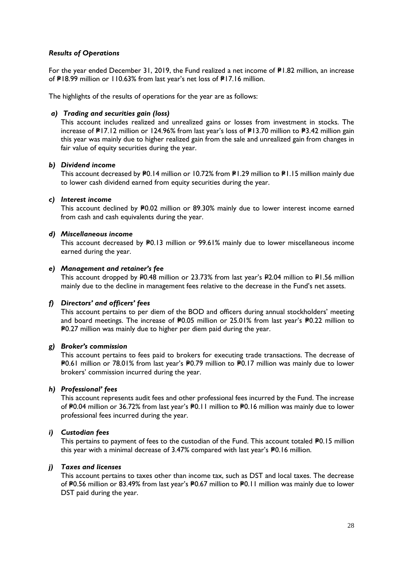## *Results of Operations*

For the year ended December 31, 2019, the Fund realized a net income of  $P1.82$  million, an increase of  $PI8.99$  million or 110.63% from last year's net loss of  $PI7.16$  million.

The highlights of the results of operations for the year are as follows:

#### *a) Trading and securities gain (loss)*

This account includes realized and unrealized gains or losses from investment in stocks. The increase of P17.12 million or 124.96% from last year's loss of P13.70 million to P3.42 million gain this year was mainly due to higher realized gain from the sale and unrealized gain from changes in fair value of equity securities during the year.

#### *b) Dividend income*

This account decreased by P0.14 million or 10.72% from P1.29 million to P1.15 million mainly due to lower cash dividend earned from equity securities during the year.

#### *c) Interest income*

This account declined by P0.02 million or 89.30% mainly due to lower interest income earned from cash and cash equivalents during the year.

#### *d) Miscellaneous income*

This account decreased by P0.13 million or 99.61% mainly due to lower miscellaneous income earned during the year.

#### *e) Management and retainer's fee*

This account dropped by P0.48 million or 23.73% from last year's P2.04 million to P1.56 million mainly due to the decline in management fees relative to the decrease in the Fund's net assets.

#### *f) Directors' and officers' fees*

This account pertains to per diem of the BOD and officers during annual stockholders' meeting and board meetings. The increase of  $P0.05$  million or 25.01% from last year's  $P0.22$  million to =P0.27 million was mainly due to higher per diem paid during the year.

#### *g) Broker's commission*

This account pertains to fees paid to [brokers](http://financial-dictionary.thefreedictionary.com/Broker) for [executing](http://financial-dictionary.thefreedictionary.com/Execution) [trade](http://financial-dictionary.thefreedictionary.com/Trade) transactions. The decrease of =P0.61 million or 78.01% from last year's =P0.79 million to =P0.17 million was mainly due to lower brokers' commission incurred during the year.

#### *h) Professional' fees*

This account represents audit fees and other professional fees incurred by the Fund. The increase of P0.04 million or 36.72% from last year's P0.11 million to P0.16 million was mainly due to lower professional fees incurred during the year.

#### *i) Custodian fees*

This pertains to payment of fees to the custodian of the Fund. This account totaled  $P0.15$  million this year with a minimal decrease of  $3.47%$  compared with last year's  $P0.16$  million.

## *j) Taxes and licenses*

This account pertains to taxes other than income tax, such as DST and local taxes. The decrease of P0.56 million or 83.49% from last year's P0.67 million to P0.11 million was mainly due to lower DST paid during the year.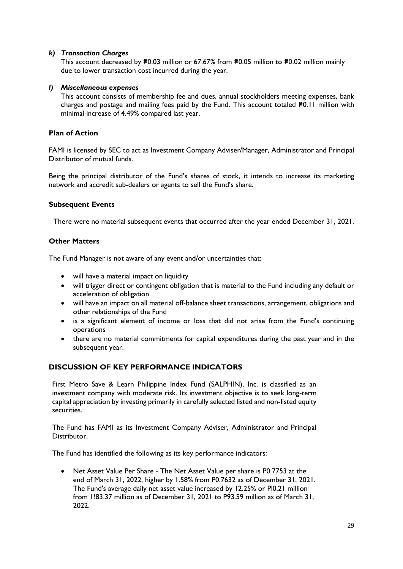## *k) Transaction Charges*

This account decreased by P0.03 million or 67.67% from P0.05 million to P0.02 million mainly due to lower transaction cost incurred during the year.

## *l) Miscellaneous expenses*

This account consists of membership fee and dues, annual stockholders meeting expenses, bank charges and postage and mailing fees paid by the Fund. This account totaled P0.11 million with minimal increase of 4.49% compared last year.

## **Plan of Action**

FAMI is licensed by SEC to act as Investment Company Adviser/Manager, Administrator and Principal Distributor of mutual funds.

Being the principal distributor of the Fund's shares of stock, it intends to increase its marketing network and accredit sub-dealers or agents to sell the Fund's share.

## **Subsequent Events**

There were no material subsequent events that occurred after the year ended December 31, 2021.

# **Other Matters**

The Fund Manager is not aware of any event and/or uncertainties that:

- will have a material impact on liquidity
- will trigger direct or contingent obligation that is material to the Fund including any default or acceleration of obligation
- will have an impact on all material off-balance sheet transactions, arrangement, obligations and other relationships of the Fund
- is a significant element of income or loss that did not arise from the Fund's continuing operations
- there are no material commitments for capital expenditures during the past year and in the subsequent year.

# **DISCUSSION OF KEY PERFORMANCE INDICATORS**

First Metro Save & Learn Philippine Index Fund (SALPHIN), Inc. is classified as an investment company with moderate risk. Its investment objective is to seek long-term capital appreciation by investing primarily in carefully selected listed and non-listed equity securities.

The Fund has FAMI as its Investment Company Adviser, Administrator and Principal Distributor.

The Fund has identified the following as its key performance indicators:

• Net Asset Value Per Share - The Net Asset Value per share is P0.7753 at the end of March 31, 2022, higher by 1.58% from P0.7632 as of December 31, 2021. The Fund's average daily net asset value increased by 12.25% or Pl0.21 million from 1!83.37 million as of December 31, 2021 to P93.59 million as of March 31, 2022.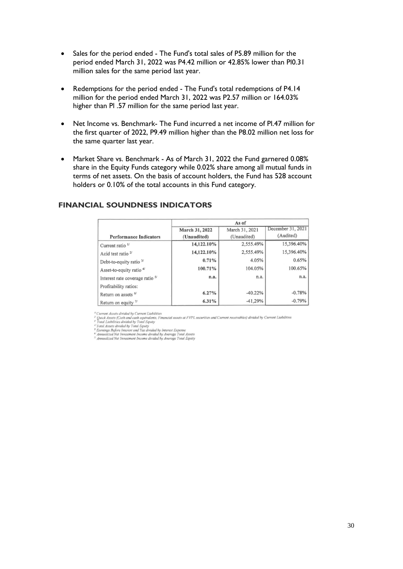- Sales for the period ended The Fund's total sales of P5.89 million for the period ended March 31, 2022 was P4.42 million or 42.85% lower than Pl0.31 million sales for the same period last year.
- Redemptions for the period ended The Fund's total redemptions of P4.14 million for the period ended March 31, 2022 was P2.57 million or 164.03% higher than Pl .57 million for the same period last year.
- Net Income vs. Benchmark- The Fund incurred a net income of Pl.47 million for the first quarter of 2022, P9.49 million higher than the P8.02 million net loss for the same quarter last year.
- Market Share vs. Benchmark As of March 31, 2022 the Fund garnered 0.08% share in the Equity Funds category while 0.02% share among all mutual funds in terms of net assets. On the basis of account holders, the Fund has 528 account holders or 0.10% of the total accounts in this Fund category.

|                                            | As of          |                |                   |
|--------------------------------------------|----------------|----------------|-------------------|
|                                            | March 31, 2022 | March 31, 2021 | December 31, 2021 |
| <b>Performance Indicators</b>              | (Unaudited)    | (Unaudited)    | (Audited)         |
| Current ratio <sup>1/</sup>                | 14,122.10%     | 2,555.49%      | 15,396.40%        |
| Acid test ratio $2f$                       | 14,122.10%     | 2,555.49%      | 15,396.40%        |
| Debt-to-equity ratio 3/                    | 0.71%          | 4.05%          | 0.65%             |
| Asset-to-equity ratio <sup>4/</sup>        | 100.71%        | 104.05%        | 100.65%           |
| Interest rate coverage ratio <sup>5/</sup> | n.a.           | n.a.           | n.a.              |
| Profitability ratios:                      |                |                |                   |
| Return on assets 6/                        | 6.27%          | $-40.22%$      | $-0.78%$          |
| Return on equity $\frac{1}{2}$             | 6.31%          | $-41.29%$      | $-0.79%$          |

## **FINANCIAL SOUNDNESS INDICATORS**

Current Assets divided by Current Liabilities

" Current Assets divided by Current Liabilities.<br>" Quick Assets (Cash and ceah-collections, Financial assets at FYPI, securities and Current receivables) divided by Current Liabilities<br>" Trual Liabilities divided by Total